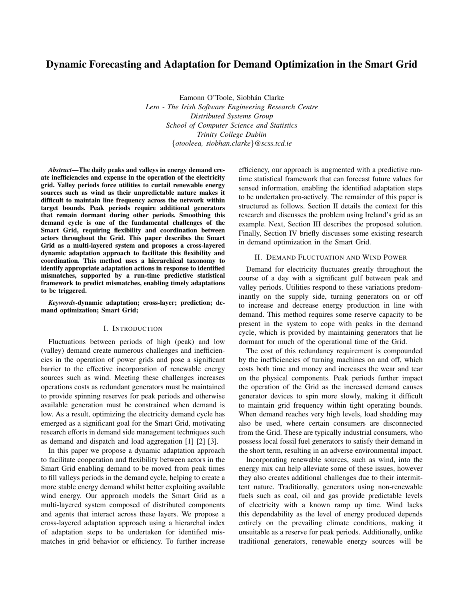# Dynamic Forecasting and Adaptation for Demand Optimization in the Smart Grid

Eamonn O'Toole, Siobhán Clarke *Lero - The Irish Software Engineering Research Centre Distributed Systems Group School of Computer Science and Statistics Trinity College Dublin* {*otooleea, siobhan.clarke*}*@scss.tcd.ie*

*Abstract*—The daily peaks and valleys in energy demand create inefficiencies and expense in the operation of the electricity grid. Valley periods force utilities to curtail renewable energy sources such as wind as their unpredictable nature makes it difficult to maintain line frequency across the network within target bounds. Peak periods require additional generators that remain dormant during other periods. Smoothing this demand cycle is one of the fundamental challenges of the Smart Grid, requiring flexibility and coordination between actors throughout the Grid. This paper describes the Smart Grid as a multi-layered system and proposes a cross-layered dynamic adaptation approach to facilitate this flexibility and coordination. This method uses a hierarchical taxonomy to identify appropriate adaptation actions in response to identified mismatches, supported by a run-time predictive statistical framework to predict mismatches, enabling timely adaptations to be triggered.

*Keywords*-dynamic adaptation; cross-layer; prediction; demand optimization; Smart Grid;

# I. INTRODUCTION

Fluctuations between periods of high (peak) and low (valley) demand create numerous challenges and inefficiencies in the operation of power grids and pose a significant barrier to the effective incorporation of renewable energy sources such as wind. Meeting these challenges increases operations costs as redundant generators must be maintained to provide spinning reserves for peak periods and otherwise available generation must be constrained when demand is low. As a result, optimizing the electricity demand cycle has emerged as a significant goal for the Smart Grid, motivating research efforts in demand side management techniques such as demand and dispatch and load aggregation [1] [2] [3].

In this paper we propose a dynamic adaptation approach to facilitate cooperation and flexibility between actors in the Smart Grid enabling demand to be moved from peak times to fill valleys periods in the demand cycle, helping to create a more stable energy demand whilst better exploiting available wind energy. Our approach models the Smart Grid as a multi-layered system composed of distributed components and agents that interact across these layers. We propose a cross-layered adaptation approach using a hierarchal index of adaptation steps to be undertaken for identified mismatches in grid behavior or efficiency. To further increase efficiency, our approach is augmented with a predictive runtime statistical framework that can forecast future values for sensed information, enabling the identified adaptation steps to be undertaken pro-actively. The remainder of this paper is structured as follows. Section II details the context for this research and discusses the problem using Ireland's grid as an example. Next, Section III describes the proposed solution. Finally, Section IV briefly discusses some existing research in demand optimization in the Smart Grid.

# II. DEMAND FLUCTUATION AND WIND POWER

Demand for electricity fluctuates greatly throughout the course of a day with a significant gulf between peak and valley periods. Utilities respond to these variations predominantly on the supply side, turning generators on or off to increase and decrease energy production in line with demand. This method requires some reserve capacity to be present in the system to cope with peaks in the demand cycle, which is provided by maintaining generators that lie dormant for much of the operational time of the Grid.

The cost of this redundancy requirement is compounded by the inefficiencies of turning machines on and off, which costs both time and money and increases the wear and tear on the physical components. Peak periods further impact the operation of the Grid as the increased demand causes generator devices to spin more slowly, making it difficult to maintain grid frequency within tight operating bounds. When demand reaches very high levels, load shedding may also be used, where certain consumers are disconnected from the Grid. These are typically industrial consumers, who possess local fossil fuel generators to satisfy their demand in the short term, resulting in an adverse environmental impact.

Incorporating renewable sources, such as wind, into the energy mix can help alleviate some of these issues, however they also creates additional challenges due to their intermittent nature. Traditionally, generators using non-renewable fuels such as coal, oil and gas provide predictable levels of electricity with a known ramp up time. Wind lacks this dependability as the level of energy produced depends entirely on the prevailing climate conditions, making it unsuitable as a reserve for peak periods. Additionally, unlike traditional generators, renewable energy sources will be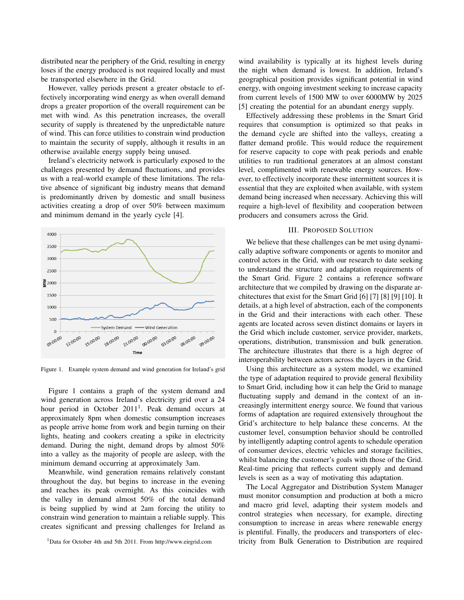distributed near the periphery of the Grid, resulting in energy loses if the energy produced is not required locally and must be transported elsewhere in the Grid.

However, valley periods present a greater obstacle to effectively incorporating wind energy as when overall demand drops a greater proportion of the overall requirement can be met with wind. As this penetration increases, the overall security of supply is threatened by the unpredictable nature of wind. This can force utilities to constrain wind production to maintain the security of supply, although it results in an otherwise available energy supply being unused.

Ireland's electricity network is particularly exposed to the challenges presented by demand fluctuations, and provides us with a real-world example of these limitations. The relative absence of significant big industry means that demand is predominantly driven by domestic and small business activities creating a drop of over 50% between maximum and minimum demand in the yearly cycle [4].



Figure 1. Example system demand and wind generation for Ireland's grid

Figure 1 contains a graph of the system demand and wind generation across Ireland's electricity grid over a 24 hour period in October 2011<sup>1</sup>. Peak demand occurs at approximately 8pm when domestic consumption increases as people arrive home from work and begin turning on their lights, heating and cookers creating a spike in electricity demand. During the night, demand drops by almost 50% into a valley as the majority of people are asleep, with the minimum demand occurring at approximately 3am.

Meanwhile, wind generation remains relatively constant throughout the day, but begins to increase in the evening and reaches its peak overnight. As this coincides with the valley in demand almost 50% of the total demand is being supplied by wind at 2am forcing the utility to constrain wind generation to maintain a reliable supply. This creates significant and pressing challenges for Ireland as wind availability is typically at its highest levels during the night when demand is lowest. In addition, Ireland's geographical position provides significant potential in wind energy, with ongoing investment seeking to increase capacity from current levels of 1500 MW to over 6000MW by 2025 [5] creating the potential for an abundant energy supply.

Effectively addressing these problems in the Smart Grid requires that consumption is optimized so that peaks in the demand cycle are shifted into the valleys, creating a flatter demand profile. This would reduce the requirement for reserve capacity to cope with peak periods and enable utilities to run traditional generators at an almost constant level, complimented with renewable energy sources. However, to effectively incorporate these intermittent sources it is essential that they are exploited when available, with system demand being increased when necessary. Achieving this will require a high-level of flexibility and cooperation between producers and consumers across the Grid.

## III. PROPOSED SOLUTION

We believe that these challenges can be met using dynamically adaptive software components or agents to monitor and control actors in the Grid, with our research to date seeking to understand the structure and adaptation requirements of the Smart Grid. Figure 2 contains a reference software architecture that we compiled by drawing on the disparate architectures that exist for the Smart Grid [6] [7] [8] [9] [10]. It details, at a high level of abstraction, each of the components in the Grid and their interactions with each other. These agents are located across seven distinct domains or layers in the Grid which include customer, service provider, markets, operations, distribution, transmission and bulk generation. The architecture illustrates that there is a high degree of interoperability between actors across the layers in the Grid.

Using this architecture as a system model, we examined the type of adaptation required to provide general flexibility to Smart Grid, including how it can help the Grid to manage fluctuating supply and demand in the context of an increasingly intermittent energy source. We found that various forms of adaptation are required extensively throughout the Grid's architecture to help balance these concerns. At the customer level, consumption behavior should be controlled by intelligently adapting control agents to schedule operation of consumer devices, electric vehicles and storage facilities, whilst balancing the customer's goals with those of the Grid. Real-time pricing that reflects current supply and demand levels is seen as a way of motivating this adaptation.

The Local Aggregator and Distribution System Manager must monitor consumption and production at both a micro and macro grid level, adapting their system models and control strategies when necessary, for example, directing consumption to increase in areas where renewable energy is plentiful. Finally, the producers and transporters of electricity from Bulk Generation to Distribution are required

<sup>1</sup>Data for October 4th and 5th 2011. From http://www.eirgrid.com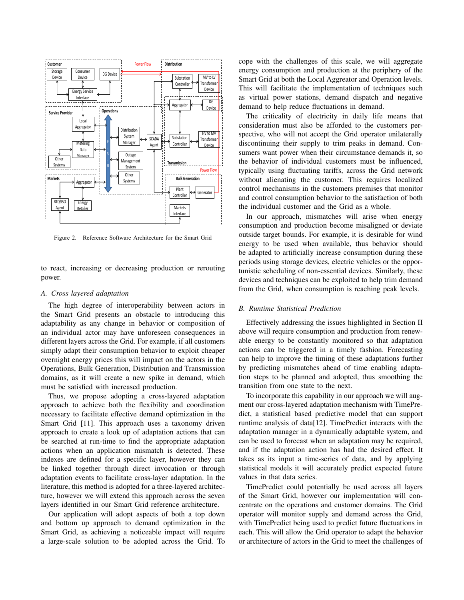

Figure 2. Reference Software Architecture for the Smart Grid

to react, increasing or decreasing production or rerouting power.

#### *A. Cross layered adaptation*

The high degree of interoperability between actors in the Smart Grid presents an obstacle to introducing this adaptability as any change in behavior or composition of an individual actor may have unforeseen consequences in different layers across the Grid. For example, if all customers simply adapt their consumption behavior to exploit cheaper overnight energy prices this will impact on the actors in the Operations, Bulk Generation, Distribution and Transmission domains, as it will create a new spike in demand, which must be satisfied with increased production.

Thus, we propose adopting a cross-layered adaptation approach to achieve both the flexibility and coordination necessary to facilitate effective demand optimization in the Smart Grid [11]. This approach uses a taxonomy driven approach to create a look up of adaptation actions that can be searched at run-time to find the appropriate adaptation actions when an application mismatch is detected. These indexes are defined for a specific layer, however they can be linked together through direct invocation or through adaptation events to facilitate cross-layer adaptation. In the literature, this method is adopted for a three-layered architecture, however we will extend this approach across the seven layers identified in our Smart Grid reference architecture.

Our application will adopt aspects of both a top down and bottom up approach to demand optimization in the Smart Grid, as achieving a noticeable impact will require a large-scale solution to be adopted across the Grid. To cope with the challenges of this scale, we will aggregate energy consumption and production at the periphery of the Smart Grid at both the Local Aggreator and Operation levels. This will facilitate the implementation of techniques such as virtual power stations, demand dispatch and negative demand to help reduce fluctuations in demand.

The criticality of electricity in daily life means that consideration must also be afforded to the customers perspective, who will not accept the Grid operator unilaterally discontinuing their supply to trim peaks in demand. Consumers want power when their circumstance demands it, so the behavior of individual customers must be influenced, typically using fluctuating tariffs, across the Grid network without alienating the customer. This requires localized control mechanisms in the customers premises that monitor and control consumption behavior to the satisfaction of both the individual customer and the Grid as a whole.

In our approach, mismatches will arise when energy consumption and production become misaligned or deviate outside target bounds. For example, it is desirable for wind energy to be used when available, thus behavior should be adapted to artificially increase consumption during these periods using storage devices, electric vehicles or the opportunistic scheduling of non-essential devices. Similarly, these devices and techniques can be exploited to help trim demand from the Grid, when consumption is reaching peak levels.

## *B. Runtime Statistical Prediction*

Effectively addressing the issues highlighted in Section II above will require consumption and production from renewable energy to be constantly monitored so that adaptation actions can be triggered in a timely fashion. Forecasting can help to improve the timing of these adaptations further by predicting mismatches ahead of time enabling adaptation steps to be planned and adopted, thus smoothing the transition from one state to the next.

To incorporate this capability in our approach we will augment our cross-layered adaptation mechanism with TimePredict, a statistical based predictive model that can support runtime analysis of data[12]. TimePredict interacts with the adaptation manager in a dynamically adaptable system, and can be used to forecast when an adaptation may be required, and if the adaptation action has had the desired effect. It takes as its input a time-series of data, and by applying statistical models it will accurately predict expected future values in that data series.

TimePredict could potentially be used across all layers of the Smart Grid, however our implementation will concentrate on the operations and customer domains. The Grid operator will monitor supply and demand across the Grid, with TimePredict being used to predict future fluctuations in each. This will allow the Grid operator to adapt the behavior or architecture of actors in the Grid to meet the challenges of